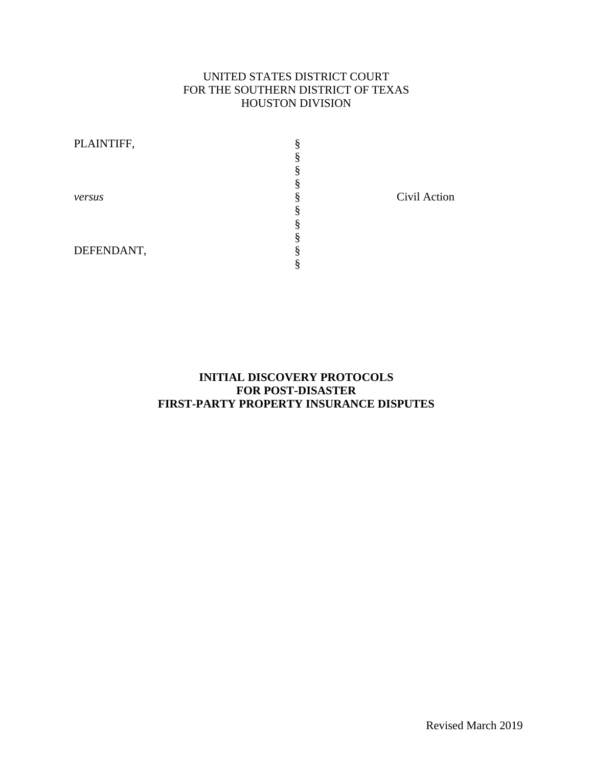# UNITED STATES DISTRICT COURT FOR THE SOUTHERN DISTRICT OF TEXAS HOUSTON DIVISION

| PLAINTIFF, |  |
|------------|--|
|            |  |
|            |  |
|            |  |
| versus     |  |
|            |  |
|            |  |
|            |  |
| DEFENDANT, |  |
|            |  |

Civil Action

# **INITIAL DISCOVERY PROTOCOLS FOR POST-DISASTER FIRST-PARTY PROPERTY INSURANCE DISPUTES**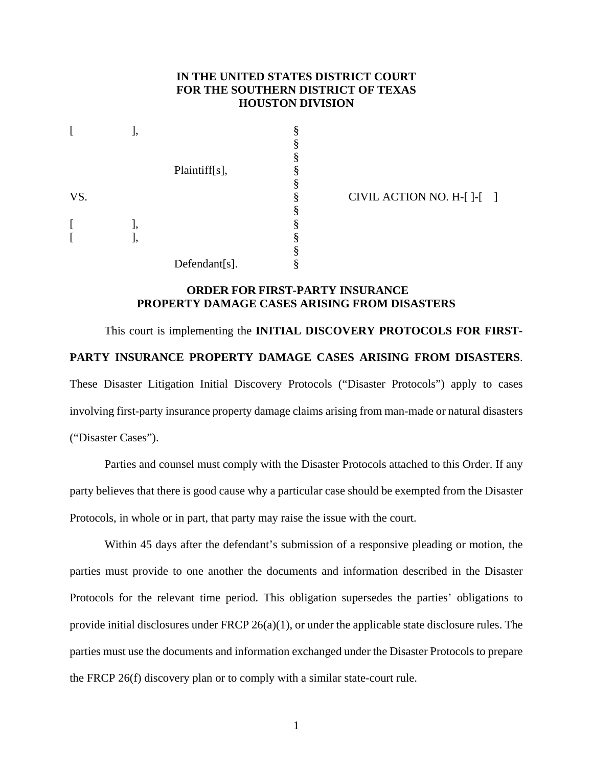### **IN THE UNITED STATES DISTRICT COURT FOR THE SOUTHERN DISTRICT OF TEXAS HOUSTON DIVISION**

|     | J, |               | § |
|-----|----|---------------|---|
|     |    |               | § |
|     |    |               | § |
|     |    | Plaintiff[s], | § |
|     |    |               | § |
| VS. |    |               | § |
|     |    |               | § |
| I   | l, |               | § |
| ſ   | ], |               | § |
|     |    |               | § |
|     |    | Defendant[s]. | § |

CIVIL ACTION NO.  $H - [ ] - [ ]$ 

# **ORDER FOR FIRST-PARTY INSURANCE PROPERTY DAMAGE CASES ARISING FROM DISASTERS**

This court is implementing the **INITIAL DISCOVERY PROTOCOLS FOR FIRST-PARTY INSURANCE PROPERTY DAMAGE CASES ARISING FROM DISASTERS**. These Disaster Litigation Initial Discovery Protocols ("Disaster Protocols") apply to cases involving first-party insurance property damage claims arising from man-made or natural disasters ("Disaster Cases").

Parties and counsel must comply with the Disaster Protocols attached to this Order. If any party believes that there is good cause why a particular case should be exempted from the Disaster Protocols, in whole or in part, that party may raise the issue with the court.

Within 45 days after the defendant's submission of a responsive pleading or motion, the parties must provide to one another the documents and information described in the Disaster Protocols for the relevant time period. This obligation supersedes the parties' obligations to provide initial disclosures under FRCP 26(a)(1), or under the applicable state disclosure rules. The parties must use the documents and information exchanged under the Disaster Protocols to prepare the FRCP 26(f) discovery plan or to comply with a similar state-court rule.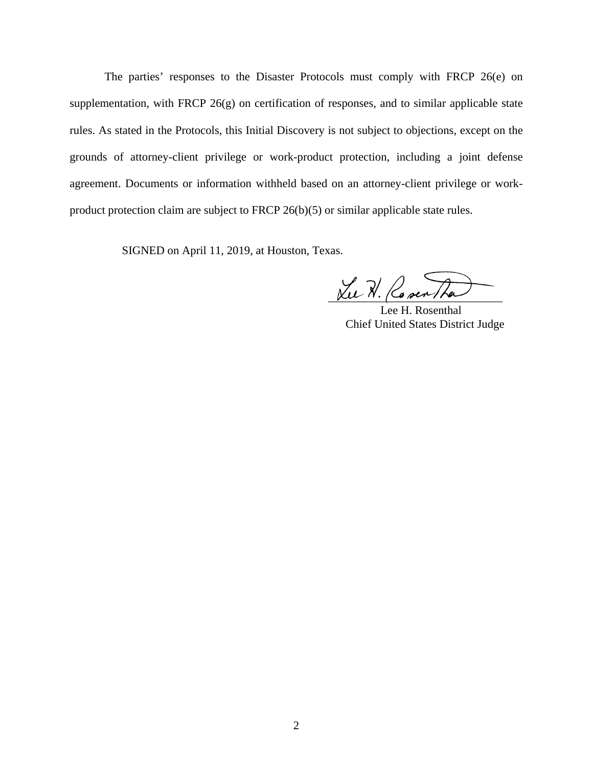The parties' responses to the Disaster Protocols must comply with FRCP 26(e) on supplementation, with FRCP 26(g) on certification of responses, and to similar applicable state rules. As stated in the Protocols, this Initial Discovery is not subject to objections, except on the grounds of attorney-client privilege or work-product protection, including a joint defense agreement. Documents or information withheld based on an attorney-client privilege or workproduct protection claim are subject to FRCP 26(b)(5) or similar applicable state rules.

SIGNED on April 11, 2019, at Houston, Texas.

Lu N. Covertha

Lee H. Rosenthal Chief United States District Judge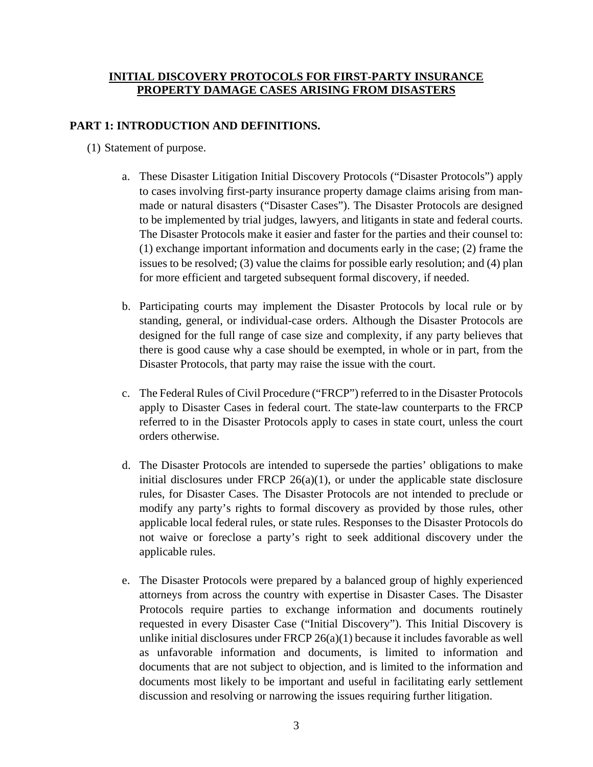# **INITIAL DISCOVERY PROTOCOLS FOR FIRST-PARTY INSURANCE PROPERTY DAMAGE CASES ARISING FROM DISASTERS**

# **PART 1: INTRODUCTION AND DEFINITIONS.**

- (1) Statement of purpose.
	- a. These Disaster Litigation Initial Discovery Protocols ("Disaster Protocols") apply to cases involving first-party insurance property damage claims arising from manmade or natural disasters ("Disaster Cases"). The Disaster Protocols are designed to be implemented by trial judges, lawyers, and litigants in state and federal courts. The Disaster Protocols make it easier and faster for the parties and their counsel to: (1) exchange important information and documents early in the case; (2) frame the issues to be resolved; (3) value the claims for possible early resolution; and (4) plan for more efficient and targeted subsequent formal discovery, if needed.
	- b. Participating courts may implement the Disaster Protocols by local rule or by standing, general, or individual-case orders. Although the Disaster Protocols are designed for the full range of case size and complexity, if any party believes that there is good cause why a case should be exempted, in whole or in part, from the Disaster Protocols, that party may raise the issue with the court.
	- c. The Federal Rules of Civil Procedure ("FRCP") referred to in the Disaster Protocols apply to Disaster Cases in federal court. The state-law counterparts to the FRCP referred to in the Disaster Protocols apply to cases in state court, unless the court orders otherwise.
	- d. The Disaster Protocols are intended to supersede the parties' obligations to make initial disclosures under FRCP  $26(a)(1)$ , or under the applicable state disclosure rules, for Disaster Cases. The Disaster Protocols are not intended to preclude or modify any party's rights to formal discovery as provided by those rules, other applicable local federal rules, or state rules. Responses to the Disaster Protocols do not waive or foreclose a party's right to seek additional discovery under the applicable rules.
	- e. The Disaster Protocols were prepared by a balanced group of highly experienced attorneys from across the country with expertise in Disaster Cases. The Disaster Protocols require parties to exchange information and documents routinely requested in every Disaster Case ("Initial Discovery"). This Initial Discovery is unlike initial disclosures under FRCP  $26(a)(1)$  because it includes favorable as well as unfavorable information and documents, is limited to information and documents that are not subject to objection, and is limited to the information and documents most likely to be important and useful in facilitating early settlement discussion and resolving or narrowing the issues requiring further litigation.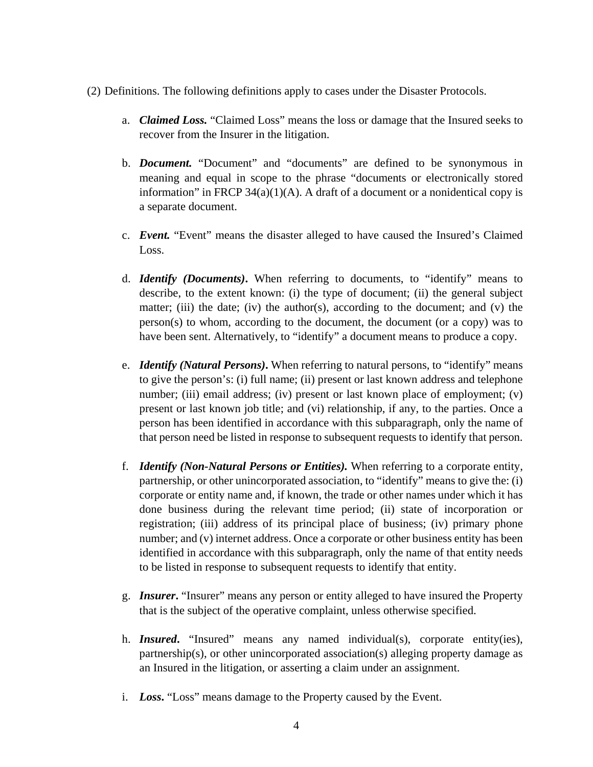- (2) Definitions. The following definitions apply to cases under the Disaster Protocols.
	- a. *Claimed Loss.* "Claimed Loss" means the loss or damage that the Insured seeks to recover from the Insurer in the litigation.
	- b. *Document.* "Document" and "documents" are defined to be synonymous in meaning and equal in scope to the phrase "documents or electronically stored information" in FRCP  $34(a)(1)(A)$ . A draft of a document or a nonidentical copy is a separate document.
	- c. *Event.* "Event" means the disaster alleged to have caused the Insured's Claimed Loss.
	- d. *Identify (Documents)***.** When referring to documents, to "identify" means to describe, to the extent known: (i) the type of document; (ii) the general subject matter; (iii) the date; (iv) the author(s), according to the document; and (v) the person(s) to whom, according to the document, the document (or a copy) was to have been sent. Alternatively, to "identify" a document means to produce a copy.
	- e. *Identify (Natural Persons)***.** When referring to natural persons, to "identify" means to give the person's: (i) full name; (ii) present or last known address and telephone number; (iii) email address; (iv) present or last known place of employment; (v) present or last known job title; and (vi) relationship, if any, to the parties. Once a person has been identified in accordance with this subparagraph, only the name of that person need be listed in response to subsequent requests to identify that person.
	- f. *Identify (Non-Natural Persons or Entities).* When referring to a corporate entity, partnership, or other unincorporated association, to "identify" means to give the: (i) corporate or entity name and, if known, the trade or other names under which it has done business during the relevant time period; (ii) state of incorporation or registration; (iii) address of its principal place of business; (iv) primary phone number; and (v) internet address. Once a corporate or other business entity has been identified in accordance with this subparagraph, only the name of that entity needs to be listed in response to subsequent requests to identify that entity.
	- g. *Insurer***.** "Insurer" means any person or entity alleged to have insured the Property that is the subject of the operative complaint, unless otherwise specified.
	- h. *Insured***.** "Insured" means any named individual(s), corporate entity(ies), partnership(s), or other unincorporated association(s) alleging property damage as an Insured in the litigation, or asserting a claim under an assignment.
	- i. *Loss***.** "Loss" means damage to the Property caused by the Event.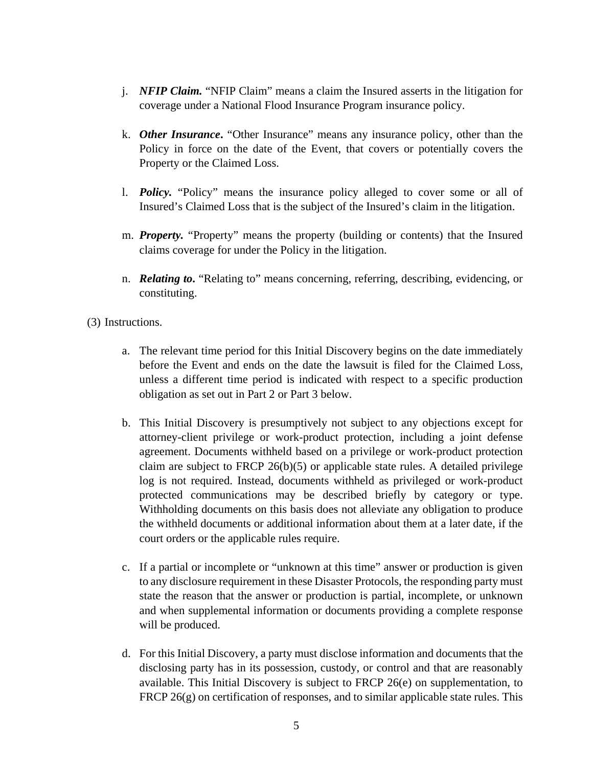- j. *NFIP Claim.* "NFIP Claim" means a claim the Insured asserts in the litigation for coverage under a National Flood Insurance Program insurance policy.
- k. *Other Insurance***.** "Other Insurance" means any insurance policy, other than the Policy in force on the date of the Event, that covers or potentially covers the Property or the Claimed Loss.
- l. *Policy.* "Policy" means the insurance policy alleged to cover some or all of Insured's Claimed Loss that is the subject of the Insured's claim in the litigation.
- m. *Property.* "Property" means the property (building or contents) that the Insured claims coverage for under the Policy in the litigation.
- n. *Relating to***.** "Relating to" means concerning, referring, describing, evidencing, or constituting.

(3) Instructions.

- a. The relevant time period for this Initial Discovery begins on the date immediately before the Event and ends on the date the lawsuit is filed for the Claimed Loss, unless a different time period is indicated with respect to a specific production obligation as set out in Part 2 or Part 3 below.
- b. This Initial Discovery is presumptively not subject to any objections except for attorney-client privilege or work-product protection, including a joint defense agreement. Documents withheld based on a privilege or work-product protection claim are subject to FRCP 26(b)(5) or applicable state rules. A detailed privilege log is not required. Instead, documents withheld as privileged or work-product protected communications may be described briefly by category or type. Withholding documents on this basis does not alleviate any obligation to produce the withheld documents or additional information about them at a later date, if the court orders or the applicable rules require.
- c. If a partial or incomplete or "unknown at this time" answer or production is given to any disclosure requirement in these Disaster Protocols, the responding party must state the reason that the answer or production is partial, incomplete, or unknown and when supplemental information or documents providing a complete response will be produced.
- d. For this Initial Discovery, a party must disclose information and documents that the disclosing party has in its possession, custody, or control and that are reasonably available. This Initial Discovery is subject to FRCP 26(e) on supplementation, to FRCP 26(g) on certification of responses, and to similar applicable state rules. This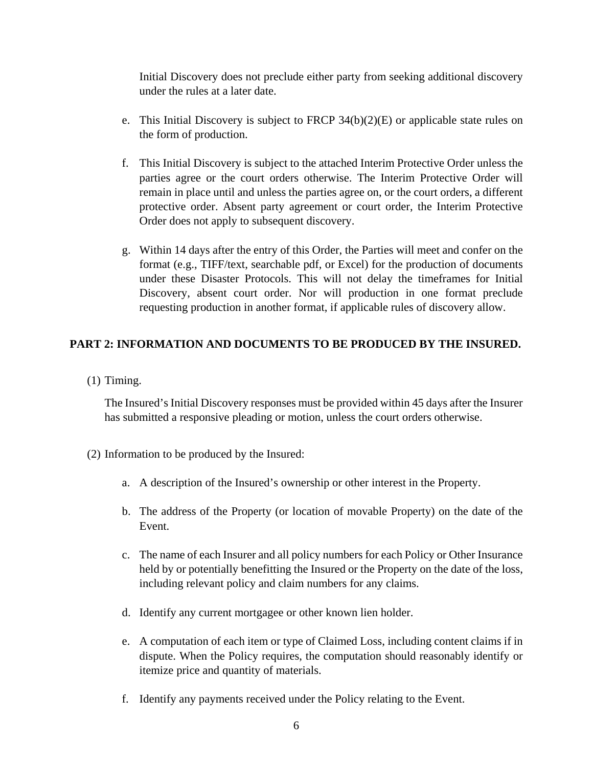Initial Discovery does not preclude either party from seeking additional discovery under the rules at a later date.

- e. This Initial Discovery is subject to FRCP 34(b)(2)(E) or applicable state rules on the form of production.
- f. This Initial Discovery is subject to the attached Interim Protective Order unless the parties agree or the court orders otherwise. The Interim Protective Order will remain in place until and unless the parties agree on, or the court orders, a different protective order. Absent party agreement or court order, the Interim Protective Order does not apply to subsequent discovery.
- g. Within 14 days after the entry of this Order, the Parties will meet and confer on the format (e.g., TIFF/text, searchable pdf, or Excel) for the production of documents under these Disaster Protocols. This will not delay the timeframes for Initial Discovery, absent court order. Nor will production in one format preclude requesting production in another format, if applicable rules of discovery allow.

# **PART 2: INFORMATION AND DOCUMENTS TO BE PRODUCED BY THE INSURED.**

(1) Timing.

The Insured's Initial Discovery responses must be provided within 45 days after the Insurer has submitted a responsive pleading or motion, unless the court orders otherwise.

- (2) Information to be produced by the Insured:
	- a. A description of the Insured's ownership or other interest in the Property.
	- b. The address of the Property (or location of movable Property) on the date of the Event.
	- c. The name of each Insurer and all policy numbers for each Policy or Other Insurance held by or potentially benefitting the Insured or the Property on the date of the loss, including relevant policy and claim numbers for any claims.
	- d. Identify any current mortgagee or other known lien holder.
	- e. A computation of each item or type of Claimed Loss, including content claims if in dispute. When the Policy requires, the computation should reasonably identify or itemize price and quantity of materials.
	- f. Identify any payments received under the Policy relating to the Event.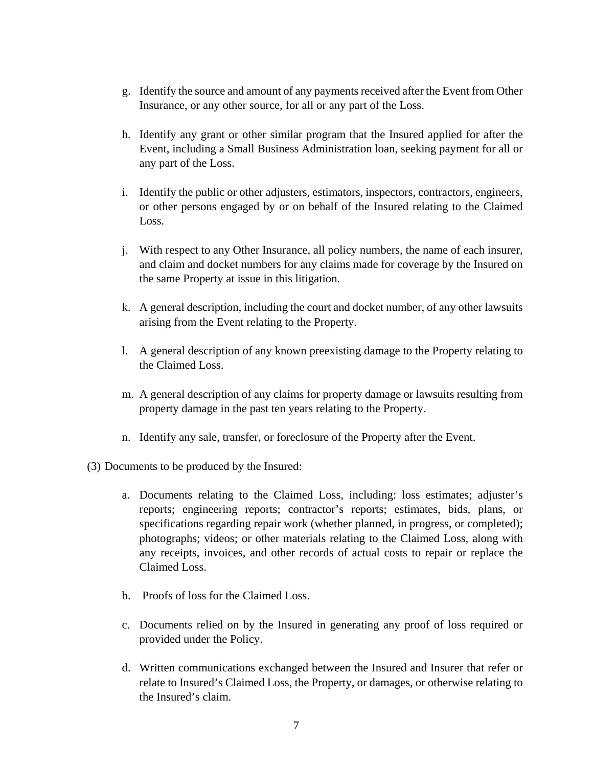- g. Identify the source and amount of any payments received after the Event from Other Insurance, or any other source, for all or any part of the Loss.
- h. Identify any grant or other similar program that the Insured applied for after the Event, including a Small Business Administration loan, seeking payment for all or any part of the Loss.
- i. Identify the public or other adjusters, estimators, inspectors, contractors, engineers, or other persons engaged by or on behalf of the Insured relating to the Claimed Loss.
- j. With respect to any Other Insurance, all policy numbers, the name of each insurer, and claim and docket numbers for any claims made for coverage by the Insured on the same Property at issue in this litigation.
- k. A general description, including the court and docket number, of any other lawsuits arising from the Event relating to the Property.
- l. A general description of any known preexisting damage to the Property relating to the Claimed Loss.
- m. A general description of any claims for property damage or lawsuits resulting from property damage in the past ten years relating to the Property.
- n. Identify any sale, transfer, or foreclosure of the Property after the Event.
- (3) Documents to be produced by the Insured:
	- a. Documents relating to the Claimed Loss, including: loss estimates; adjuster's reports; engineering reports; contractor's reports; estimates, bids, plans, or specifications regarding repair work (whether planned, in progress, or completed); photographs; videos; or other materials relating to the Claimed Loss, along with any receipts, invoices, and other records of actual costs to repair or replace the Claimed Loss.
	- b. Proofs of loss for the Claimed Loss.
	- c. Documents relied on by the Insured in generating any proof of loss required or provided under the Policy.
	- d. Written communications exchanged between the Insured and Insurer that refer or relate to Insured's Claimed Loss, the Property, or damages, or otherwise relating to the Insured's claim.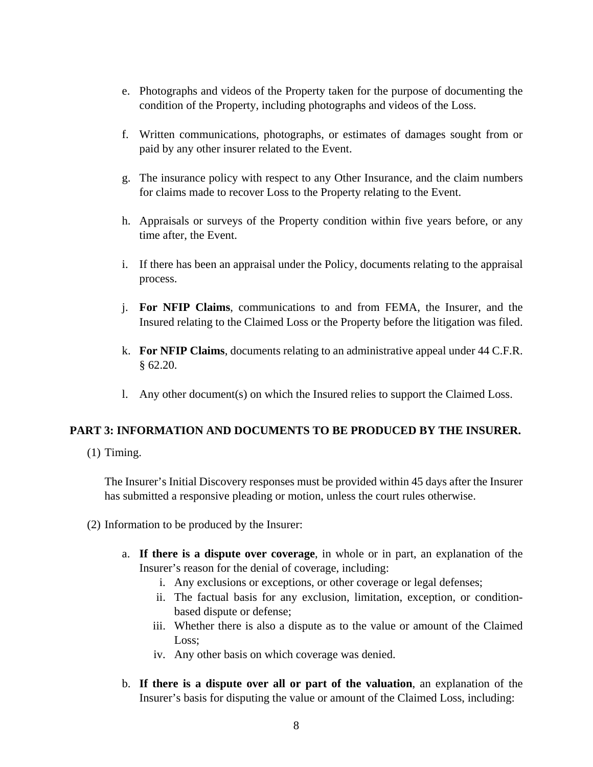- e. Photographs and videos of the Property taken for the purpose of documenting the condition of the Property, including photographs and videos of the Loss.
- f. Written communications, photographs, or estimates of damages sought from or paid by any other insurer related to the Event.
- g. The insurance policy with respect to any Other Insurance, and the claim numbers for claims made to recover Loss to the Property relating to the Event.
- h. Appraisals or surveys of the Property condition within five years before, or any time after, the Event.
- i. If there has been an appraisal under the Policy, documents relating to the appraisal process.
- j. **For NFIP Claims**, communications to and from FEMA, the Insurer, and the Insured relating to the Claimed Loss or the Property before the litigation was filed.
- k. **For NFIP Claims**, documents relating to an administrative appeal under 44 C.F.R. § 62.20.
- l. Any other document(s) on which the Insured relies to support the Claimed Loss.

### **PART 3: INFORMATION AND DOCUMENTS TO BE PRODUCED BY THE INSURER.**

(1) Timing.

The Insurer's Initial Discovery responses must be provided within 45 days after the Insurer has submitted a responsive pleading or motion, unless the court rules otherwise.

- (2) Information to be produced by the Insurer:
	- a. **If there is a dispute over coverage**, in whole or in part, an explanation of the Insurer's reason for the denial of coverage, including:
		- i. Any exclusions or exceptions, or other coverage or legal defenses;
		- ii. The factual basis for any exclusion, limitation, exception, or conditionbased dispute or defense;
		- iii. Whether there is also a dispute as to the value or amount of the Claimed Loss;
		- iv. Any other basis on which coverage was denied.
	- b. **If there is a dispute over all or part of the valuation**, an explanation of the Insurer's basis for disputing the value or amount of the Claimed Loss, including: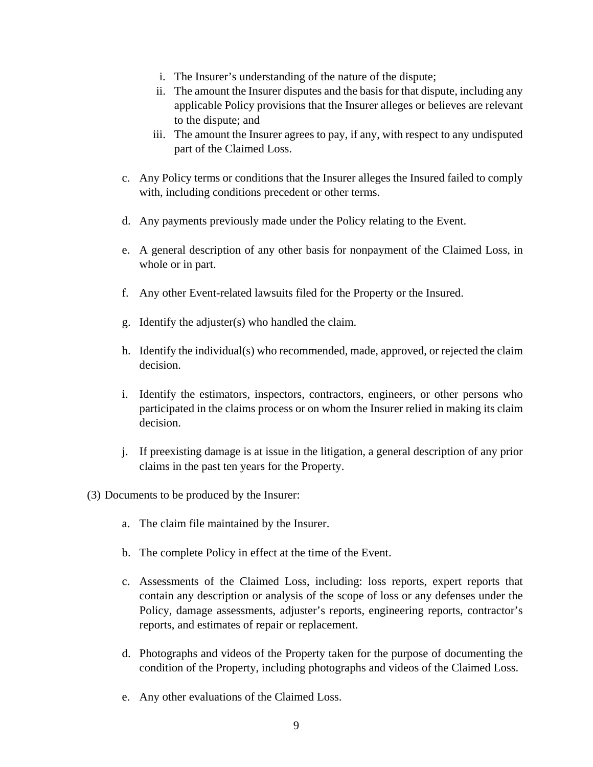- i. The Insurer's understanding of the nature of the dispute;
- ii. The amount the Insurer disputes and the basis for that dispute, including any applicable Policy provisions that the Insurer alleges or believes are relevant to the dispute; and
- iii. The amount the Insurer agrees to pay, if any, with respect to any undisputed part of the Claimed Loss.
- c. Any Policy terms or conditions that the Insurer alleges the Insured failed to comply with, including conditions precedent or other terms.
- d. Any payments previously made under the Policy relating to the Event.
- e. A general description of any other basis for nonpayment of the Claimed Loss, in whole or in part.
- f. Any other Event-related lawsuits filed for the Property or the Insured.
- g. Identify the adjuster(s) who handled the claim.
- h. Identify the individual(s) who recommended, made, approved, or rejected the claim decision.
- i. Identify the estimators, inspectors, contractors, engineers, or other persons who participated in the claims process or on whom the Insurer relied in making its claim decision.
- j. If preexisting damage is at issue in the litigation, a general description of any prior claims in the past ten years for the Property.
- (3) Documents to be produced by the Insurer:
	- a. The claim file maintained by the Insurer.
	- b. The complete Policy in effect at the time of the Event.
	- c. Assessments of the Claimed Loss, including: loss reports, expert reports that contain any description or analysis of the scope of loss or any defenses under the Policy, damage assessments, adjuster's reports, engineering reports, contractor's reports, and estimates of repair or replacement.
	- d. Photographs and videos of the Property taken for the purpose of documenting the condition of the Property, including photographs and videos of the Claimed Loss.
	- e. Any other evaluations of the Claimed Loss.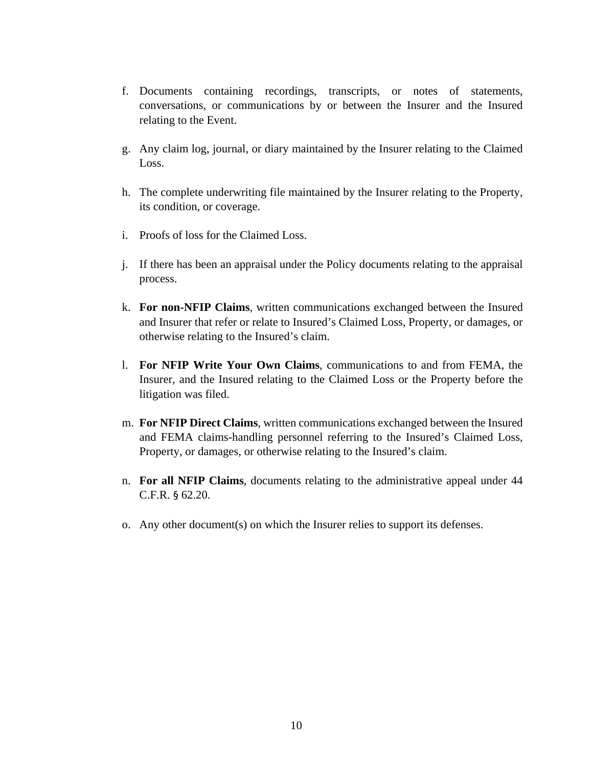- f. Documents containing recordings, transcripts, or notes of statements, conversations, or communications by or between the Insurer and the Insured relating to the Event.
- g. Any claim log, journal, or diary maintained by the Insurer relating to the Claimed Loss.
- h. The complete underwriting file maintained by the Insurer relating to the Property, its condition, or coverage.
- i. Proofs of loss for the Claimed Loss.
- j. If there has been an appraisal under the Policy documents relating to the appraisal process.
- k. **For non-NFIP Claims**, written communications exchanged between the Insured and Insurer that refer or relate to Insured's Claimed Loss, Property, or damages, or otherwise relating to the Insured's claim.
- l. **For NFIP Write Your Own Claims**, communications to and from FEMA, the Insurer, and the Insured relating to the Claimed Loss or the Property before the litigation was filed.
- m. **For NFIP Direct Claims**, written communications exchanged between the Insured and FEMA claims-handling personnel referring to the Insured's Claimed Loss, Property, or damages, or otherwise relating to the Insured's claim.
- n. **For all NFIP Claims**, documents relating to the administrative appeal under 44 C.F.R. § 62.20.
- o. Any other document(s) on which the Insurer relies to support its defenses.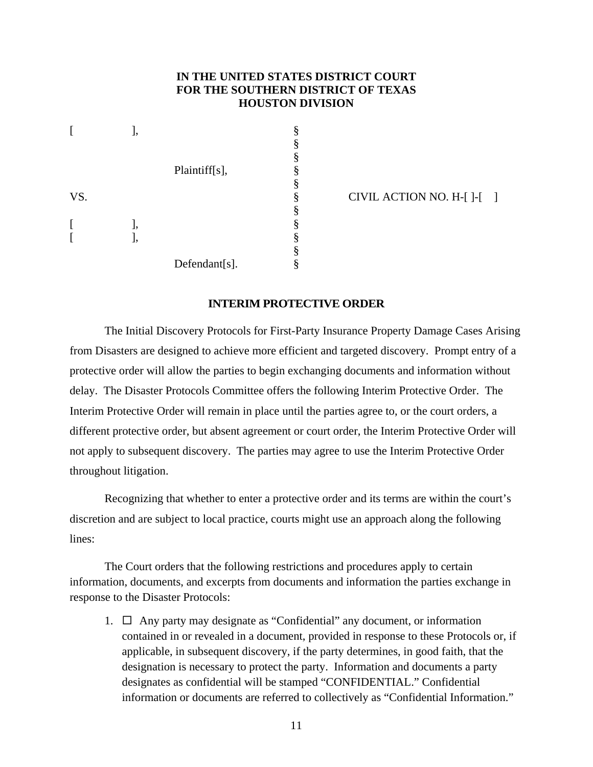### **IN THE UNITED STATES DISTRICT COURT FOR THE SOUTHERN DISTRICT OF TEXAS HOUSTON DIVISION**

|     | J, |               | § |
|-----|----|---------------|---|
|     |    |               | § |
|     |    |               | § |
|     |    | Plaintiff[s], | § |
|     |    |               | § |
| VS. |    |               | § |
|     |    |               | § |
| I   | l, |               | § |
| ſ   | ], |               | § |
|     |    |               | § |
|     |    | Defendant[s]. | § |

CIVIL ACTION NO.  $H-[$   $]$ - $[$   $]$ 

#### **INTERIM PROTECTIVE ORDER**

The Initial Discovery Protocols for First-Party Insurance Property Damage Cases Arising from Disasters are designed to achieve more efficient and targeted discovery. Prompt entry of a protective order will allow the parties to begin exchanging documents and information without delay. The Disaster Protocols Committee offers the following Interim Protective Order. The Interim Protective Order will remain in place until the parties agree to, or the court orders, a different protective order, but absent agreement or court order, the Interim Protective Order will not apply to subsequent discovery. The parties may agree to use the Interim Protective Order throughout litigation.

Recognizing that whether to enter a protective order and its terms are within the court's discretion and are subject to local practice, courts might use an approach along the following lines:

The Court orders that the following restrictions and procedures apply to certain information, documents, and excerpts from documents and information the parties exchange in response to the Disaster Protocols:

1.  $\Box$  Any party may designate as "Confidential" any document, or information contained in or revealed in a document, provided in response to these Protocols or, if applicable, in subsequent discovery, if the party determines, in good faith, that the designation is necessary to protect the party. Information and documents a party designates as confidential will be stamped "CONFIDENTIAL." Confidential information or documents are referred to collectively as "Confidential Information."

11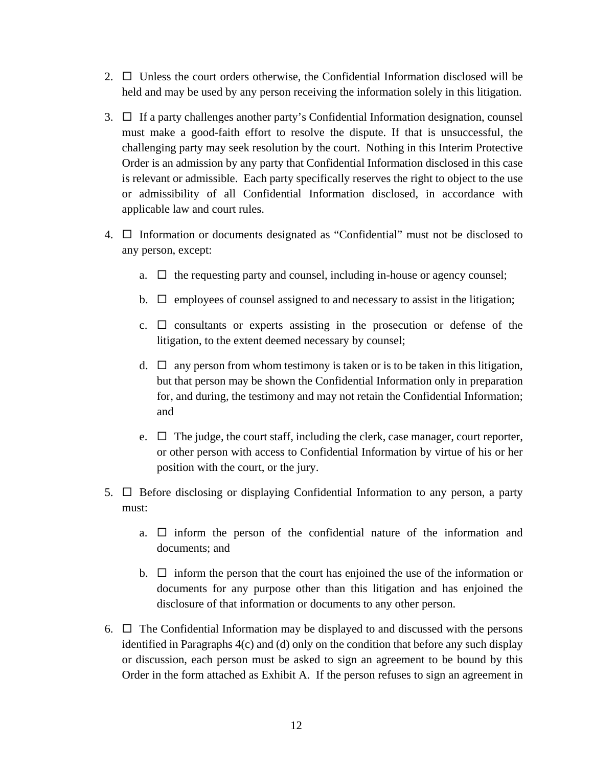- 2.  $\Box$  Unless the court orders otherwise, the Confidential Information disclosed will be held and may be used by any person receiving the information solely in this litigation.
- 3.  $\Box$  If a party challenges another party's Confidential Information designation, counsel must make a good-faith effort to resolve the dispute. If that is unsuccessful, the challenging party may seek resolution by the court. Nothing in this Interim Protective Order is an admission by any party that Confidential Information disclosed in this case is relevant or admissible. Each party specifically reserves the right to object to the use or admissibility of all Confidential Information disclosed, in accordance with applicable law and court rules.
- 4.  $\Box$  Information or documents designated as "Confidential" must not be disclosed to any person, except:
	- a.  $\Box$  the requesting party and counsel, including in-house or agency counsel;
	- b.  $\Box$  employees of counsel assigned to and necessary to assist in the litigation;
	- c.  $\Box$  consultants or experts assisting in the prosecution or defense of the litigation, to the extent deemed necessary by counsel;
	- d.  $\Box$  any person from whom testimony is taken or is to be taken in this litigation, but that person may be shown the Confidential Information only in preparation for, and during, the testimony and may not retain the Confidential Information; and
	- e.  $\Box$  The judge, the court staff, including the clerk, case manager, court reporter, or other person with access to Confidential Information by virtue of his or her position with the court, or the jury.
- 5.  $\Box$  Before disclosing or displaying Confidential Information to any person, a party must:
	- a.  $\Box$  inform the person of the confidential nature of the information and documents; and
	- b.  $\Box$  inform the person that the court has enjoined the use of the information or documents for any purpose other than this litigation and has enjoined the disclosure of that information or documents to any other person.
- 6.  $\Box$  The Confidential Information may be displayed to and discussed with the persons identified in Paragraphs 4(c) and (d) only on the condition that before any such display or discussion, each person must be asked to sign an agreement to be bound by this Order in the form attached as Exhibit A. If the person refuses to sign an agreement in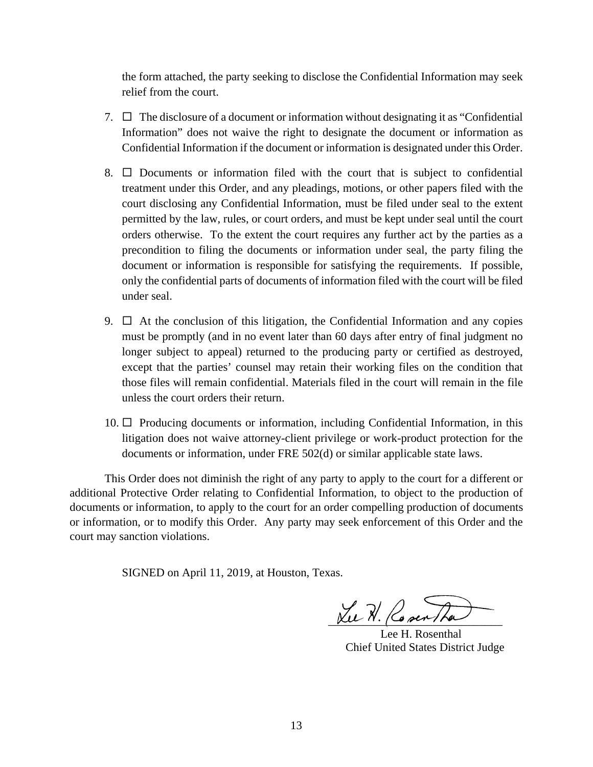the form attached, the party seeking to disclose the Confidential Information may seek relief from the court.

- 7.  $\Box$  The disclosure of a document or information without designating it as "Confidential" Information" does not waive the right to designate the document or information as Confidential Information if the document or information is designated under this Order.
- 8.  $\Box$  Documents or information filed with the court that is subject to confidential treatment under this Order, and any pleadings, motions, or other papers filed with the court disclosing any Confidential Information, must be filed under seal to the extent permitted by the law, rules, or court orders, and must be kept under seal until the court orders otherwise. To the extent the court requires any further act by the parties as a precondition to filing the documents or information under seal, the party filing the document or information is responsible for satisfying the requirements. If possible, only the confidential parts of documents of information filed with the court will be filed under seal.
- 9.  $\Box$  At the conclusion of this litigation, the Confidential Information and any copies must be promptly (and in no event later than 60 days after entry of final judgment no longer subject to appeal) returned to the producing party or certified as destroyed, except that the parties' counsel may retain their working files on the condition that those files will remain confidential. Materials filed in the court will remain in the file unless the court orders their return.
- $10. \Box$  Producing documents or information, including Confidential Information, in this litigation does not waive attorney-client privilege or work-product protection for the documents or information, under FRE 502(d) or similar applicable state laws.

This Order does not diminish the right of any party to apply to the court for a different or additional Protective Order relating to Confidential Information, to object to the production of documents or information, to apply to the court for an order compelling production of documents or information, or to modify this Order. Any party may seek enforcement of this Order and the court may sanction violations.

SIGNED on April 11, 2019, at Houston, Texas.

 $xu \nvert x$ . Co sen The

 Lee H. Rosenthal Chief United States District Judge